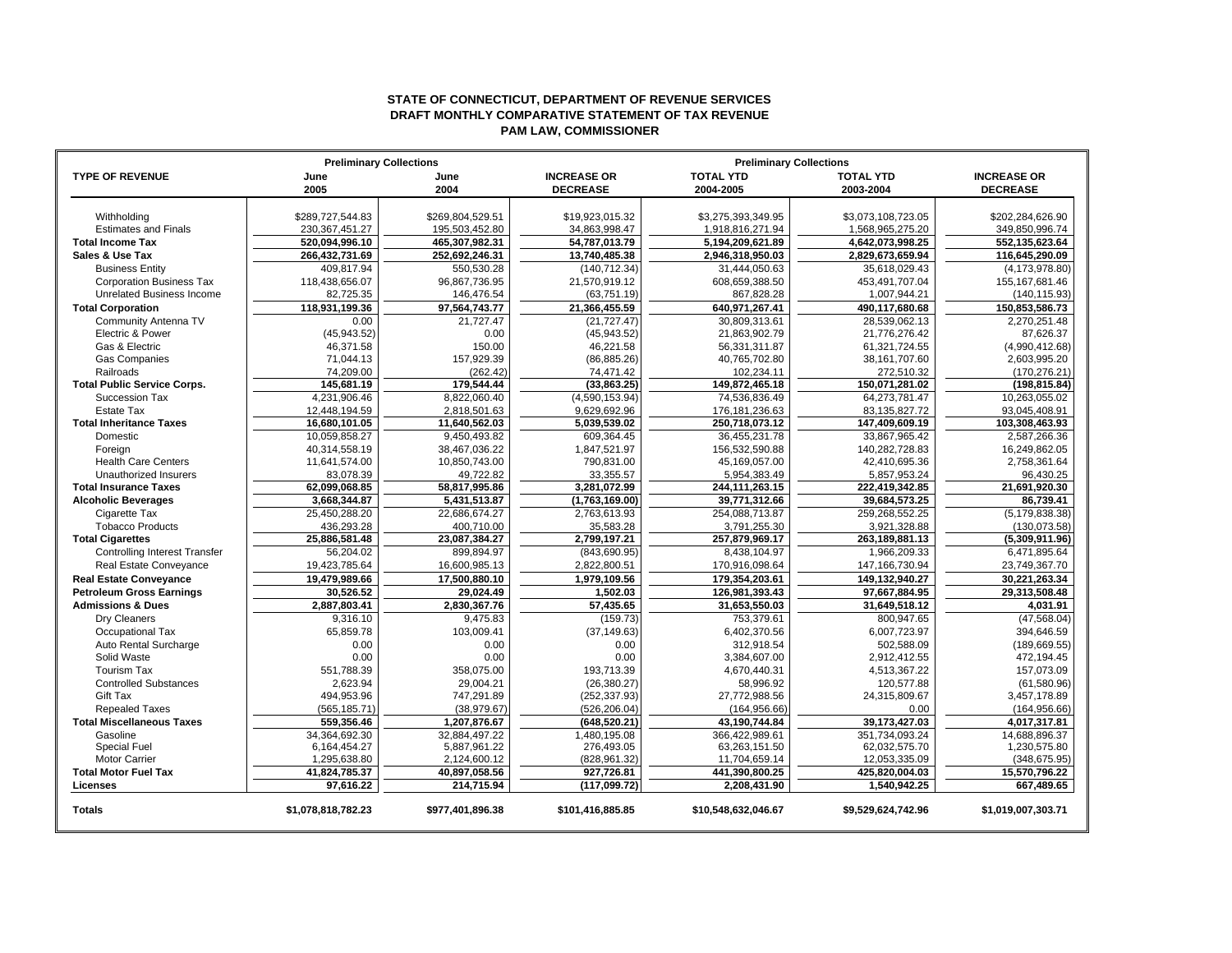## **STATE OF CONNECTICUT, DEPARTMENT OF REVENUE SERVICES DRAFT MONTHLY COMPARATIVE STATEMENT OF TAX REVENUE PAM LAW, COMMISSIONER**

|                                      | <b>Preliminary Collections</b> | <b>Preliminary Collections</b> |                    |                     |                    |                    |
|--------------------------------------|--------------------------------|--------------------------------|--------------------|---------------------|--------------------|--------------------|
| <b>TYPE OF REVENUE</b>               | June                           | June                           | <b>INCREASE OR</b> | <b>TOTAL YTD</b>    | <b>TOTAL YTD</b>   | <b>INCREASE OR</b> |
|                                      | 2005                           | 2004                           | <b>DECREASE</b>    | 2004-2005           | 2003-2004          | <b>DECREASE</b>    |
|                                      |                                |                                |                    |                     |                    |                    |
| Withholding                          | \$289,727,544.83               | \$269.804.529.51               | \$19,923,015.32    | \$3,275,393,349.95  | \$3,073,108,723.05 | \$202,284,626.90   |
| <b>Estimates and Finals</b>          | 230, 367, 451.27               | 195,503,452.80                 | 34,863,998.47      | 1,918,816,271.94    | 1,568,965,275.20   | 349,850,996.74     |
| <b>Total Income Tax</b>              | 520,094,996.10                 | 465,307,982.31                 | 54,787,013.79      | 5,194,209,621.89    | 4,642,073,998.25   | 552,135,623.64     |
| Sales & Use Tax                      | 266,432,731.69                 | 252,692,246.31                 | 13.740.485.38      | 2,946,318,950.03    | 2,829,673,659.94   | 116,645,290.09     |
| <b>Business Entity</b>               | 409,817.94                     | 550,530.28                     | (140, 712.34)      | 31,444,050.63       | 35,618,029.43      | (4, 173, 978.80)   |
| <b>Corporation Business Tax</b>      | 118,438,656.07                 | 96,867,736.95                  | 21,570,919.12      | 608,659,388.50      | 453,491,707.04     | 155, 167, 681. 46  |
| <b>Unrelated Business Income</b>     | 82,725.35                      | 146,476.54                     | (63,751.19)        | 867,828.28          | 1,007,944.21       | (140, 115.93)      |
| <b>Total Corporation</b>             | 118,931,199.36                 | 97,564,743.77                  | 21,366,455.59      | 640,971,267.41      | 490,117,680.68     | 150,853,586.73     |
| Community Antenna TV                 | 0.00                           | 21.727.47                      | (21, 727.47)       | 30,809,313.61       | 28,539,062.13      | 2,270,251.48       |
| Electric & Power                     | (45, 943.52)                   | 0.00                           | (45, 943.52)       | 21,863,902.79       | 21,776,276.42      | 87,626.37          |
| Gas & Electric                       | 46,371.58                      | 150.00                         | 46,221.58          | 56,331,311.87       | 61,321,724.55      | (4,990,412.68)     |
| <b>Gas Companies</b>                 | 71,044.13                      | 157,929.39                     | (86, 885.26)       | 40,765,702.80       | 38, 161, 707.60    | 2,603,995.20       |
| Railroads                            | 74,209.00                      | (262.42)                       | 74,471.42          | 102,234.11          | 272,510.32         | (170, 276.21)      |
| <b>Total Public Service Corps.</b>   | 145,681.19                     | 179,544.44                     | (33,863.25)        | 149,872,465.18      | 150,071,281.02     | (198, 815.84)      |
| Succession Tax                       | 4,231,906.46                   | 8,822,060.40                   | (4,590,153.94)     | 74,536,836.49       | 64,273,781.47      | 10,263,055.02      |
| <b>Estate Tax</b>                    | 12,448,194.59                  | 2,818,501.63                   | 9,629,692.96       | 176, 181, 236. 63   | 83, 135, 827. 72   | 93,045,408.91      |
| <b>Total Inheritance Taxes</b>       | 16,680,101.05                  | 11,640,562.03                  | 5,039,539.02       | 250,718,073.12      | 147,409,609.19     | 103,308,463.93     |
| Domestic                             | 10,059,858.27                  | 9,450,493.82                   | 609,364.45         | 36,455,231.78       | 33,867,965.42      | 2,587,266.36       |
| Foreign                              | 40,314,558.19                  | 38,467,036.22                  | 1,847,521.97       | 156,532,590.88      | 140,282,728.83     | 16,249,862.05      |
| <b>Health Care Centers</b>           | 11,641,574.00                  | 10,850,743.00                  | 790,831.00         | 45,169,057.00       | 42,410,695.36      | 2,758,361.64       |
| Unauthorized Insurers                | 83,078.39                      | 49,722.82                      | 33,355.57          | 5,954,383.49        | 5,857,953.24       | 96,430.25          |
| <b>Total Insurance Taxes</b>         | 62,099,068.85                  | 58,817,995.86                  | 3,281,072.99       | 244, 111, 263. 15   | 222,419,342.85     | 21,691,920.30      |
| <b>Alcoholic Beverages</b>           | 3,668,344.87                   | 5,431,513.87                   | (1,763,169.00)     | 39,771,312.66       | 39,684,573.25      | 86.739.41          |
| Cigarette Tax                        | 25,450,288.20                  | 22,686,674.27                  | 2,763,613.93       | 254,088,713.87      | 259,268,552.25     | (5, 179, 838.38)   |
| <b>Tobacco Products</b>              | 436,293.28                     | 400,710.00                     | 35,583.28          | 3,791,255.30        | 3,921,328.88       | (130,073.58)       |
| <b>Total Cigarettes</b>              | 25,886,581.48                  | 23,087,384.27                  | 2,799,197.21       | 257,879,969.17      | 263,189,881.13     | (5,309,911.96)     |
| <b>Controlling Interest Transfer</b> | 56,204.02                      | 899,894.97                     | (843, 690.95)      | 8,438,104.97        | 1,966,209.33       | 6,471,895.64       |
| Real Estate Conveyance               | 19,423,785.64                  | 16,600,985.13                  | 2,822,800.51       | 170,916,098.64      | 147, 166, 730. 94  | 23,749,367.70      |
| <b>Real Estate Conveyance</b>        | 19,479,989.66                  | 17,500,880.10                  | 1,979,109.56       | 179,354,203.61      | 149,132,940.27     | 30,221,263.34      |
| <b>Petroleum Gross Earnings</b>      | 30,526.52                      | 29,024.49                      | 1,502.03           | 126,981,393.43      | 97,667,884.95      | 29,313,508.48      |
| <b>Admissions &amp; Dues</b>         | 2.887.803.41                   | 2.830.367.76                   | 57,435.65          | 31,653,550.03       | 31,649,518.12      | 4.031.91           |
| Dry Cleaners                         | 9.316.10                       | 9.475.83                       | (159.73)           | 753,379.61          | 800,947.65         | (47, 568.04)       |
| Occupational Tax                     | 65.859.78                      | 103.009.41                     | (37.149.63)        | 6,402,370.56        | 6,007,723.97       | 394.646.59         |
| Auto Rental Surcharge                | 0.00                           | 0.00                           | 0.00               | 312,918.54          | 502,588.09         | (189, 669.55)      |
| Solid Waste                          | 0.00                           | 0.00                           | 0.00               | 3,384,607.00        | 2,912,412.55       | 472,194.45         |
| <b>Tourism Tax</b>                   | 551,788.39                     | 358.075.00                     | 193,713.39         | 4,670,440.31        | 4,513,367.22       | 157,073.09         |
| <b>Controlled Substances</b>         | 2,623.94                       | 29,004.21                      | (26, 380.27)       | 58,996.92           | 120,577.88         | (61,580.96)        |
| <b>Gift Tax</b>                      | 494,953.96                     | 747,291.89                     | (252, 337.93)      | 27,772,988.56       | 24,315,809.67      | 3,457,178.89       |
| <b>Repealed Taxes</b>                | (565, 185.71)                  | (38, 979.67)                   | (526, 206.04)      | (164, 956.66)       | 0.00               | (164, 956.66)      |
| <b>Total Miscellaneous Taxes</b>     | 559,356.46                     | 1.207.876.67                   | (648.520.21)       | 43.190.744.84       | 39, 173, 427.03    | 4,017,317.81       |
| Gasoline                             | 34.364.692.30                  | 32.884.497.22                  | 1.480.195.08       | 366.422.989.61      | 351.734.093.24     | 14,688,896.37      |
| <b>Special Fuel</b>                  | 6,164,454.27                   | 5,887,961.22                   | 276,493.05         | 63,263,151.50       | 62,032,575.70      | 1,230,575.80       |
| <b>Motor Carrier</b>                 | 1,295,638.80                   | 2,124,600.12                   | (828, 961.32)      | 11,704,659.14       | 12,053,335.09      | (348, 675.95)      |
| <b>Total Motor Fuel Tax</b>          | 41,824,785.37                  | 40,897,058.56                  | 927,726.81         | 441,390,800.25      | 425,820,004.03     | 15,570,796.22      |
| Licenses                             | 97,616.22                      | 214,715.94                     | (117, 099.72)      | 2,208,431.90        | 1,540,942.25       | 667,489.65         |
| <b>Totals</b>                        | \$1,078,818,782.23             | \$977,401,896.38               | \$101,416,885.85   | \$10,548,632,046.67 | \$9,529,624,742.96 | \$1,019,007,303.71 |